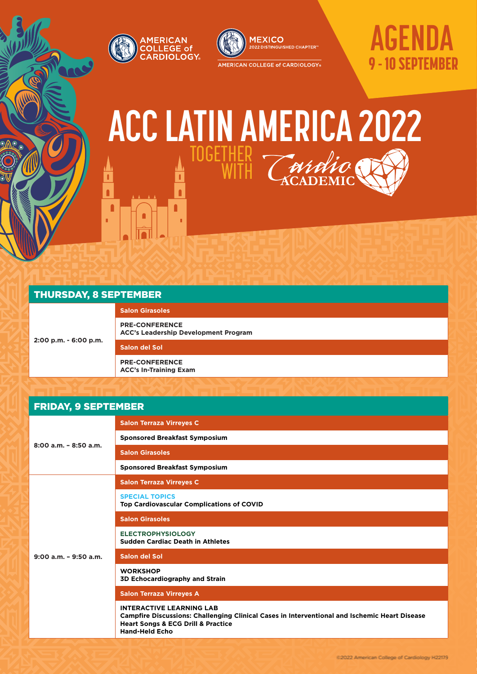



# **AGENDA** 9 - 10 SEPTEMBER

## 353b6d **ACC LATIN AMERICA 2022 TOGETHER WITH** ı

r

n

### **Salon del Sol PRE-CONFERENCE ACC's In-Training Exam**

## FRIDAY, 9 SEPTEMBER

| THURSDAY, 8 SEPTEMBER      |                                                                                                                                                                                                                |  |  |
|----------------------------|----------------------------------------------------------------------------------------------------------------------------------------------------------------------------------------------------------------|--|--|
| 2:00 p.m. - 6:00 p.m.      | <b>Salon Girasoles</b>                                                                                                                                                                                         |  |  |
|                            | <b>PRE-CONFERENCE</b><br><b>ACC's Leadership Development Program</b>                                                                                                                                           |  |  |
|                            | <b>Salon del Sol</b>                                                                                                                                                                                           |  |  |
|                            | <b>PRE-CONFERENCE</b><br><b>ACC's In-Training Exam</b>                                                                                                                                                         |  |  |
|                            |                                                                                                                                                                                                                |  |  |
| <b>FRIDAY, 9 SEPTEMBER</b> |                                                                                                                                                                                                                |  |  |
|                            | <b>Salon Terraza Virreyes C</b>                                                                                                                                                                                |  |  |
|                            | <b>Sponsored Breakfast Symposium</b>                                                                                                                                                                           |  |  |
| $8:00$ a.m. $-8:50$ a.m.   | <b>Salon Girasoles</b>                                                                                                                                                                                         |  |  |
|                            | <b>Sponsored Breakfast Symposium</b>                                                                                                                                                                           |  |  |
|                            | <b>Salon Terraza Virreyes C</b>                                                                                                                                                                                |  |  |
|                            | <b>SPECIAL TOPICS</b><br>Top Cardiovascular Complications of COVID                                                                                                                                             |  |  |
|                            | <b>Salon Girasoles</b>                                                                                                                                                                                         |  |  |
| $9:00$ a.m. $-9:50$ a.m.   | <b>ELECTROPHYSIOLOGY</b><br><b>Sudden Cardiac Death in Athletes</b>                                                                                                                                            |  |  |
|                            | Salon del Sol                                                                                                                                                                                                  |  |  |
|                            | <b>WORKSHOP</b><br>3D Echocardiography and Strain                                                                                                                                                              |  |  |
|                            | <b>Salon Terraza Virreyes A</b>                                                                                                                                                                                |  |  |
|                            | <b>INTERACTIVE LEARNING LAB</b><br>Campfire Discussions: Challenging Clinical Cases in Interventional and Ischemic Heart Disease<br><b>Heart Songs &amp; ECG Drill &amp; Practice</b><br><b>Hand-Held Echo</b> |  |  |
|                            | @2022 Armerricam College of Candiology H22179                                                                                                                                                                  |  |  |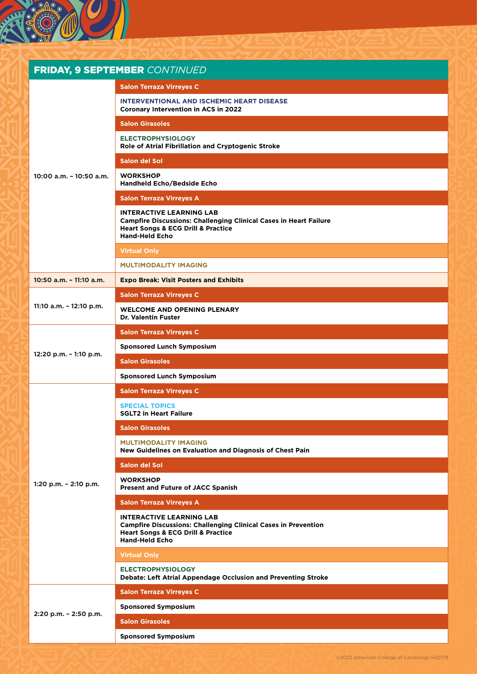

|                            | <b>FRIDAY, 9 SEPTEMBER CONTINUED</b>                                                                                                                                                      |
|----------------------------|-------------------------------------------------------------------------------------------------------------------------------------------------------------------------------------------|
| $10:00$ a.m. $-10:50$ a.m. | <b>Salon Terraza Virreyes C</b>                                                                                                                                                           |
|                            | <b>INTERVENTIONAL AND ISCHEMIC HEART DISEASE</b><br>Coronary Intervention in ACS in 2022                                                                                                  |
|                            | <b>Salon Girasoles</b>                                                                                                                                                                    |
|                            | <b>ELECTROPHYSIOLOGY</b><br>Role of Atrial Fibrillation and Cryptogenic Stroke                                                                                                            |
|                            | Salon del Sol                                                                                                                                                                             |
|                            | <b>WORKSHOP</b><br>Handheld Echo/Bedside Echo                                                                                                                                             |
|                            | <b>Salon Terraza Virreyes A</b>                                                                                                                                                           |
|                            | <b>INTERACTIVE LEARNING LAB</b><br><b>Campfire Discussions: Challenging Clinical Cases in Heart Failure</b><br><b>Heart Songs &amp; ECG Drill &amp; Practice</b><br><b>Hand-Held Echo</b> |
|                            | <b>Virtual Only</b>                                                                                                                                                                       |
|                            | <b>MULTIMODALITY IMAGING</b>                                                                                                                                                              |
| 10:50 a.m. - 11:10 a.m.    | <b>Expo Break: Visit Posters and Exhibits</b>                                                                                                                                             |
|                            | <b>Salon Terraza Virreyes C</b>                                                                                                                                                           |
| 11:10 a.m. - 12:10 p.m.    | <b>WELCOME AND OPENING PLENARY</b><br><b>Dr. Valentin Fuster</b>                                                                                                                          |
|                            | <b>Salon Terraza Virreyes C</b>                                                                                                                                                           |
|                            | <b>Sponsored Lunch Symposium</b>                                                                                                                                                          |
| $12:20$ p.m. $-1:10$ p.m.  | <b>Salon Girasoles</b>                                                                                                                                                                    |
|                            | <b>Sponsored Lunch Symposium</b>                                                                                                                                                          |
|                            | <b>Salon Terraza Virreyes C</b>                                                                                                                                                           |
|                            | <b>SPECIAL TOPICS</b><br><b>SGLT2 in Heart Failure</b>                                                                                                                                    |
|                            | <b>Salon Girasoles</b>                                                                                                                                                                    |
| 1:20 p.m. $-$ 2:10 p.m.    | <b>MULTIMODALITY IMAGING</b><br>New Guidelines on Evaluation and Diagnosis of Chest Pain                                                                                                  |
|                            | Salon del Sol                                                                                                                                                                             |
|                            | <b>WORKSHOP</b><br><b>Present and Future of JACC Spanish</b>                                                                                                                              |
|                            | <b>Salon Terraza Virreyes A</b>                                                                                                                                                           |
|                            | <b>INTERACTIVE LEARNING LAB</b><br><b>Campfire Discussions: Challenging Clinical Cases in Prevention</b><br><b>Heart Songs &amp; ECG Drill &amp; Practice</b><br><b>Hand-Held Echo</b>    |
|                            | <b>Virtual Only</b>                                                                                                                                                                       |
|                            | <b>ELECTROPHYSIOLOGY</b><br>Debate: Left Atrial Appendage Occlusion and Preventing Stroke                                                                                                 |
| 2:20 p.m. - 2:50 p.m.      | <b>Salon Terraza Virreyes C</b>                                                                                                                                                           |
|                            | <b>Sponsored Symposium</b>                                                                                                                                                                |
|                            | <b>Salon Girasoles</b>                                                                                                                                                                    |
|                            | <b>Sponsored Symposium</b>                                                                                                                                                                |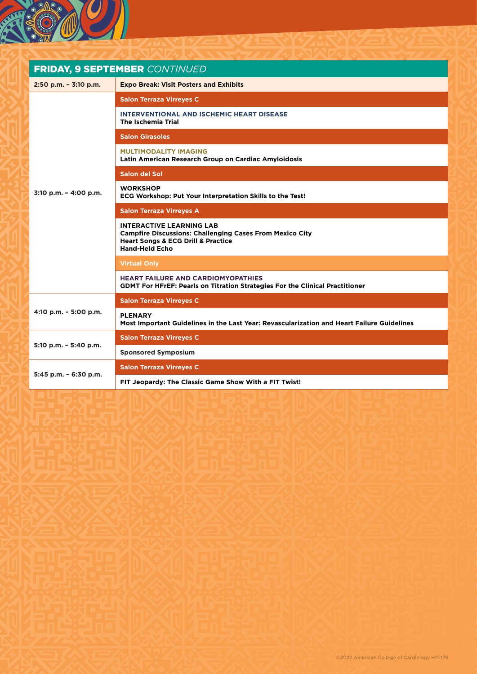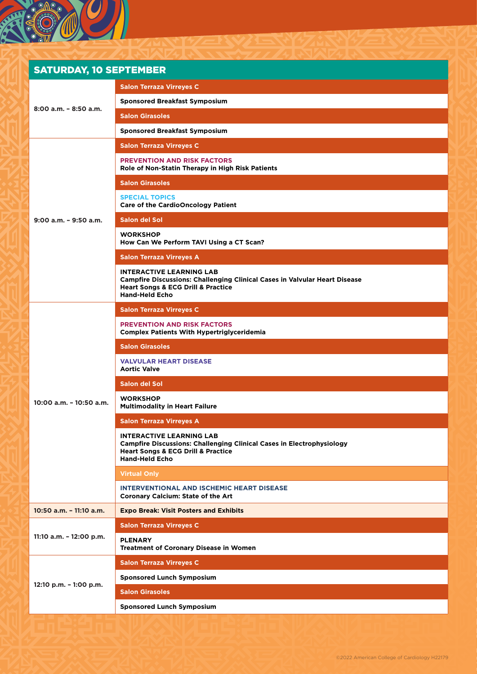| <b>SATURDAY, 10 SEPTEMBER</b> |                                                                                                                                                                                                    |  |  |
|-------------------------------|----------------------------------------------------------------------------------------------------------------------------------------------------------------------------------------------------|--|--|
| $8:00$ a.m. $-8:50$ a.m.      | <b>Salon Terraza Virreyes C</b>                                                                                                                                                                    |  |  |
|                               | <b>Sponsored Breakfast Symposium</b>                                                                                                                                                               |  |  |
|                               | <b>Salon Girasoles</b>                                                                                                                                                                             |  |  |
|                               | <b>Sponsored Breakfast Symposium</b>                                                                                                                                                               |  |  |
|                               | <b>Salon Terraza Virreyes C</b>                                                                                                                                                                    |  |  |
|                               | <b>PREVENTION AND RISK FACTORS</b><br>Role of Non-Statin Therapy in High Risk Patients                                                                                                             |  |  |
|                               | <b>Salon Girasoles</b>                                                                                                                                                                             |  |  |
|                               | <b>SPECIAL TOPICS</b><br><b>Care of the CardioOncology Patient</b>                                                                                                                                 |  |  |
| $9:00$ a.m. $-9:50$ a.m.      | Salon del Sol                                                                                                                                                                                      |  |  |
|                               | <b>WORKSHOP</b><br>How Can We Perform TAVI Using a CT Scan?                                                                                                                                        |  |  |
|                               | <b>Salon Terraza Virreyes A</b>                                                                                                                                                                    |  |  |
|                               | <b>INTERACTIVE LEARNING LAB</b><br><b>Campfire Discussions: Challenging Clinical Cases in Valvular Heart Disease</b><br><b>Heart Songs &amp; ECG Drill &amp; Practice</b><br><b>Hand-Held Echo</b> |  |  |
|                               | <b>Salon Terraza Virreyes C</b>                                                                                                                                                                    |  |  |
|                               | <b>PREVENTION AND RISK FACTORS</b><br><b>Complex Patients With Hypertriglyceridemia</b>                                                                                                            |  |  |
|                               | <b>Salon Girasoles</b>                                                                                                                                                                             |  |  |
|                               | <b>VALVULAR HEART DISEASE</b><br><b>Aortic Valve</b>                                                                                                                                               |  |  |
|                               | Salon del Sol                                                                                                                                                                                      |  |  |
| 10:00 a.m. - 10:50 a.m.       | <b>WORKSHOP</b><br><b>Multimodality in Heart Failure</b>                                                                                                                                           |  |  |
|                               | <b>Salon Terraza Virreyes A</b>                                                                                                                                                                    |  |  |
|                               | <b>INTERACTIVE LEARNING LAB</b><br><b>Campfire Discussions: Challenging Clinical Cases in Electrophysiology</b><br><b>Heart Songs &amp; ECG Drill &amp; Practice</b><br><b>Hand-Held Echo</b>      |  |  |
|                               | <b>Virtual Only</b>                                                                                                                                                                                |  |  |
|                               | <b>INTERVENTIONAL AND ISCHEMIC HEART DISEASE</b><br><b>Coronary Calcium: State of the Art</b>                                                                                                      |  |  |
| 10:50 a.m. - 11:10 a.m.       | <b>Expo Break: Visit Posters and Exhibits</b>                                                                                                                                                      |  |  |
| 11:10 a.m. - 12:00 p.m.       | <b>Salon Terraza Virreyes C</b>                                                                                                                                                                    |  |  |
|                               | <b>PLENARY</b><br><b>Treatment of Coronary Disease in Women</b>                                                                                                                                    |  |  |
| 12:10 p.m. - 1:00 p.m.        | <b>Salon Terraza Virreyes C</b>                                                                                                                                                                    |  |  |
|                               | <b>Sponsored Lunch Symposium</b>                                                                                                                                                                   |  |  |
|                               | <b>Salon Girasoles</b>                                                                                                                                                                             |  |  |
|                               | <b>Sponsored Lunch Symposium</b>                                                                                                                                                                   |  |  |